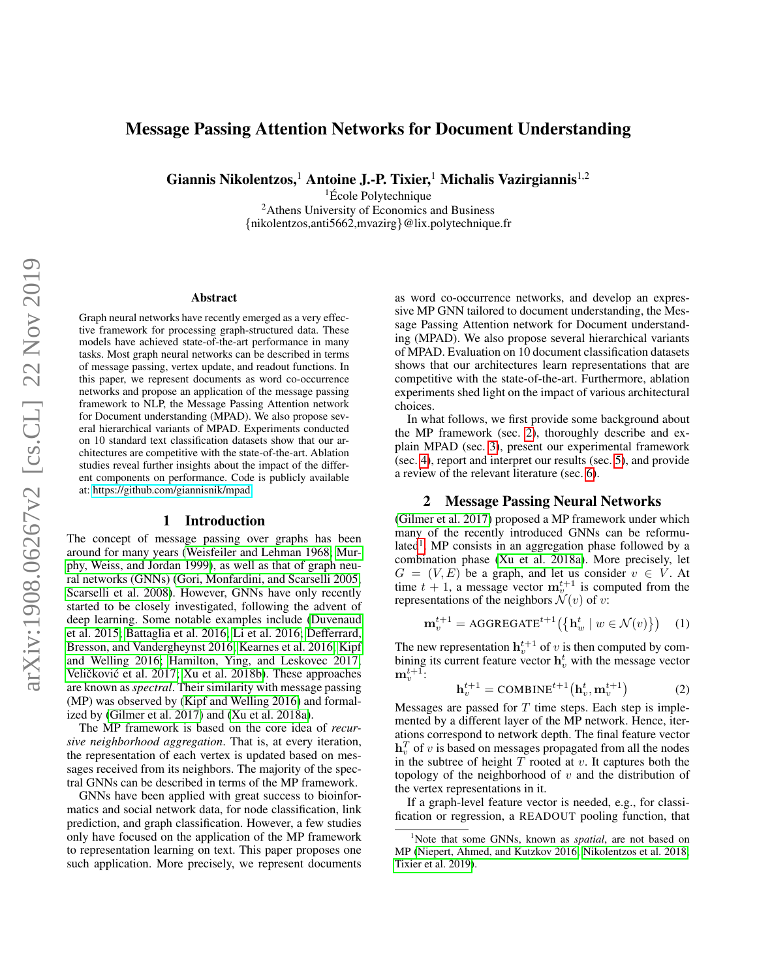# Message Passing Attention Networks for Document Understanding

Giannis Nikolentzos,<sup>1</sup> Antoine J.-P. Tixier,<sup>1</sup> Michalis Vazirgiannis<sup>1,2</sup>

 ${}^{1}$ École Polytechnique <sup>2</sup>Athens University of Economics and Business {nikolentzos,anti5662,mvazirg}@lix.polytechnique.fr

#### Abstract

Graph neural networks have recently emerged as a very effective framework for processing graph-structured data. These models have achieved state-of-the-art performance in many tasks. Most graph neural networks can be described in terms of message passing, vertex update, and readout functions. In this paper, we represent documents as word co-occurrence networks and propose an application of the message passing framework to NLP, the Message Passing Attention network for Document understanding (MPAD). We also propose several hierarchical variants of MPAD. Experiments conducted on 10 standard text classification datasets show that our architectures are competitive with the state-of-the-art. Ablation studies reveal further insights about the impact of the different components on performance. Code is publicly available at: [https://github.com/giannisnik/mpad.](https://github.com/giannisnik/mpad)

#### 1 Introduction

The concept of message passing over graphs has been around for many years [\(Weisfeiler and Lehman 1968;](#page-7-0) [Mur](#page-7-1)[phy, Weiss, and Jordan 1999\)](#page-7-1), as well as that of graph neural networks (GNNs) [\(Gori, Monfardini, and Scarselli 2005;](#page-6-0) [Scarselli et al. 2008\)](#page-7-2). However, GNNs have only recently started to be closely investigated, following the advent of deep learning. Some notable examples include [\(Duvenaud](#page-6-1) [et al. 2015;](#page-6-1) [Battaglia et al. 2016;](#page-6-2) [Li et al. 2016;](#page-7-3) [Defferrard,](#page-6-3) [Bresson, and Vandergheynst 2016;](#page-6-3) [Kearnes et al. 2016;](#page-6-4) [Kipf](#page-6-5) [and Welling 2016;](#page-6-5) [Hamilton, Ying, and Leskovec 2017;](#page-6-6) Veličković et al. 2017; [Xu et al. 2018b\)](#page-8-0). These approaches are known as *spectral*. Their similarity with message passing (MP) was observed by [\(Kipf and Welling 2016\)](#page-6-5) and formalized by [\(Gilmer et al. 2017\)](#page-6-7) and [\(Xu et al. 2018a\)](#page-7-5).

The MP framework is based on the core idea of *recursive neighborhood aggregation*. That is, at every iteration, the representation of each vertex is updated based on messages received from its neighbors. The majority of the spectral GNNs can be described in terms of the MP framework.

GNNs have been applied with great success to bioinformatics and social network data, for node classification, link prediction, and graph classification. However, a few studies only have focused on the application of the MP framework to representation learning on text. This paper proposes one such application. More precisely, we represent documents as word co-occurrence networks, and develop an expressive MP GNN tailored to document understanding, the Message Passing Attention network for Document understanding (MPAD). We also propose several hierarchical variants of MPAD. Evaluation on 10 document classification datasets shows that our architectures learn representations that are competitive with the state-of-the-art. Furthermore, ablation experiments shed light on the impact of various architectural choices.

In what follows, we first provide some background about the MP framework (sec. [2\)](#page-0-0), thoroughly describe and explain MPAD (sec. [3\)](#page-1-0), present our experimental framework (sec. [4\)](#page-2-0), report and interpret our results (sec. [5\)](#page-4-0), and provide a review of the relevant literature (sec. [6\)](#page-5-0).

## 2 Message Passing Neural Networks

<span id="page-0-0"></span>[\(Gilmer et al. 2017\)](#page-6-7) proposed a MP framework under which many of the recently introduced GNNs can be reformu-lated<sup>[1](#page-0-1)</sup>. MP consists in an aggregation phase followed by a combination phase [\(Xu et al. 2018a\)](#page-7-5). More precisely, let  $G = (V, E)$  be a graph, and let us consider  $v \in V$ . At time  $t + 1$ , a message vector  $\mathbf{m}_{v}^{t+1}$  is computed from the representations of the neighbors  $\mathcal{N}(v)$  of v:

$$
\mathbf{m}_v^{t+1} = \text{AGGREGATE}^{t+1} \left( \left\{ \mathbf{h}_w^t \mid w \in \mathcal{N}(v) \right\} \right) \quad (1)
$$

The new representation  $h_v^{t+1}$  of v is then computed by combining its current feature vector  $\mathbf{h}_v^t$  with the message vector  $\mathbf{m}_v^{t+1}$ :

$$
\mathbf{h}_v^{t+1} = \text{COMBINE}^{t+1}(\mathbf{h}_v^t, \mathbf{m}_v^{t+1})
$$
(2)

Messages are passed for  $T$  time steps. Each step is implemented by a different layer of the MP network. Hence, iterations correspond to network depth. The final feature vector  $\mathbf{h}_v^T$  of v is based on messages propagated from all the nodes in the subtree of height  $T$  rooted at  $v$ . It captures both the topology of the neighborhood of  $v$  and the distribution of the vertex representations in it.

If a graph-level feature vector is needed, e.g., for classification or regression, a READOUT pooling function, that

<span id="page-0-1"></span><sup>1</sup>Note that some GNNs, known as *spatial*, are not based on MP [\(Niepert, Ahmed, and Kutzkov 2016;](#page-7-6) [Nikolentzos et al. 2018;](#page-7-7) [Tixier et al. 2019\)](#page-7-8).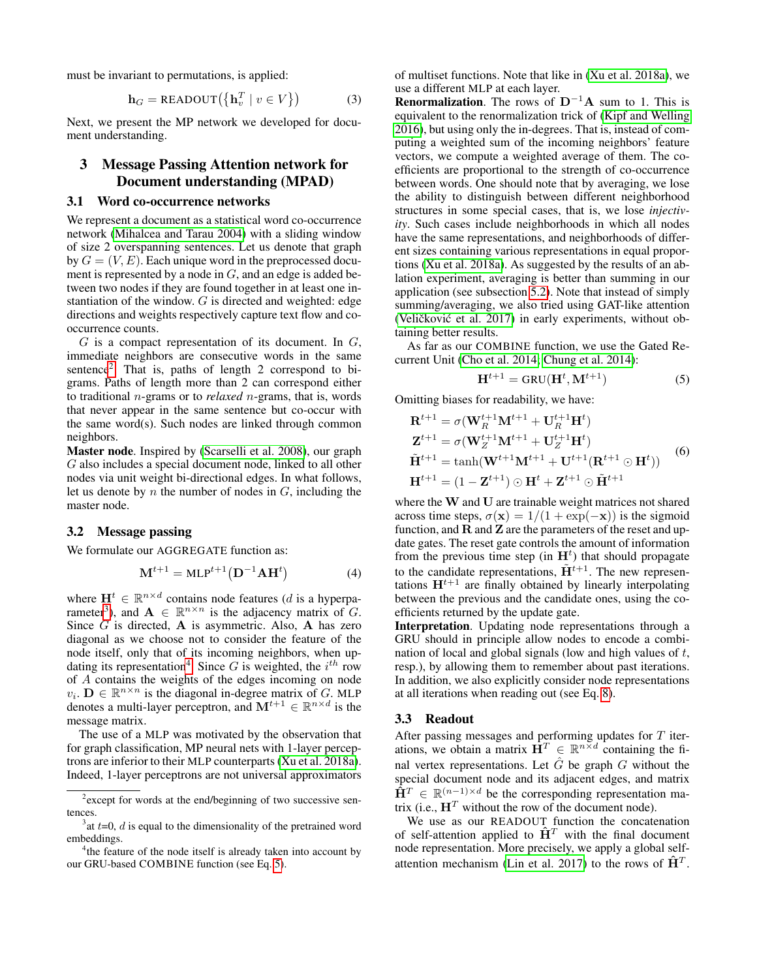must be invariant to permutations, is applied:

$$
\mathbf{h}_G = \text{READOUT}(\{\mathbf{h}_v^T \mid v \in V\})
$$
 (3)

Next, we present the MP network we developed for document understanding.

# <span id="page-1-0"></span>3 Message Passing Attention network for Document understanding (MPAD)

#### <span id="page-1-6"></span>3.1 Word co-occurrence networks

We represent a document as a statistical word co-occurrence network [\(Mihalcea and Tarau 2004\)](#page-7-9) with a sliding window of size 2 overspanning sentences. Let us denote that graph by  $G = (V, E)$ . Each unique word in the preprocessed document is represented by a node in G, and an edge is added between two nodes if they are found together in at least one instantiation of the window. G is directed and weighted: edge directions and weights respectively capture text flow and cooccurrence counts.

 $G$  is a compact representation of its document. In  $G$ , immediate neighbors are consecutive words in the same sentence<sup>[2](#page-1-1)</sup>. That is, paths of length 2 correspond to bigrams. Paths of length more than 2 can correspond either to traditional n-grams or to *relaxed* n-grams, that is, words that never appear in the same sentence but co-occur with the same word(s). Such nodes are linked through common neighbors.

Master node. Inspired by [\(Scarselli et al. 2008\)](#page-7-2), our graph G also includes a special document node, linked to all other nodes via unit weight bi-directional edges. In what follows, let us denote by  $n$  the number of nodes in  $G$ , including the master node.

## <span id="page-1-7"></span>3.2 Message passing

We formulate our AGGREGATE function as:

<span id="page-1-8"></span>
$$
\mathbf{M}^{t+1} = \text{MLP}^{t+1} \left( \mathbf{D}^{-1} \mathbf{A} \mathbf{H}^t \right) \tag{4}
$$

where  $\mathbf{H}^t \in \mathbb{R}^{n \times d}$  contains node features (d is a hyperpa-rameter<sup>[3](#page-1-2)</sup>), and  $\mathbf{A} \in \mathbb{R}^{n \times n}$  is the adjacency matrix of G. Since  $G$  is directed,  $A$  is asymmetric. Also,  $A$  has zero diagonal as we choose not to consider the feature of the node itself, only that of its incoming neighbors, when up-dating its representation<sup>[4](#page-1-3)</sup>. Since G is weighted, the  $i^{th}$  row of A contains the weights of the edges incoming on node  $v_i$ .  $\mathbf{D} \in \mathbb{R}^{n \times n}$  is the diagonal in-degree matrix of G. MLP denotes a multi-layer perceptron, and  $\mathbf{M}^{t+1} \in \mathbb{R}^{n \times d}$  is the message matrix.

The use of a MLP was motivated by the observation that for graph classification, MP neural nets with 1-layer perceptrons are inferior to their MLP counterparts [\(Xu et al. 2018a\)](#page-7-5). Indeed, 1-layer perceptrons are not universal approximators

of multiset functions. Note that like in [\(Xu et al. 2018a\)](#page-7-5), we use a different MLP at each layer.

**Renormalization.** The rows of  $D^{-1}A$  sum to 1. This is equivalent to the renormalization trick of [\(Kipf and Welling](#page-6-5) [2016\)](#page-6-5), but using only the in-degrees. That is, instead of computing a weighted sum of the incoming neighbors' feature vectors, we compute a weighted average of them. The coefficients are proportional to the strength of co-occurrence between words. One should note that by averaging, we lose the ability to distinguish between different neighborhood structures in some special cases, that is, we lose *injectivity*. Such cases include neighborhoods in which all nodes have the same representations, and neighborhoods of different sizes containing various representations in equal proportions [\(Xu et al. 2018a\)](#page-7-5). As suggested by the results of an ablation experiment, averaging is better than summing in our application (see subsection [5.2\)](#page-4-1). Note that instead of simply summing/averaging, we also tried using GAT-like attention (Veličković et al. 2017) in early experiments, without obtaining better results.

As far as our COMBINE function, we use the Gated Recurrent Unit [\(Cho et al. 2014;](#page-6-8) [Chung et al. 2014\)](#page-6-9):

<span id="page-1-4"></span>
$$
\mathbf{H}^{t+1} = \text{GRU}(\mathbf{H}^t, \mathbf{M}^{t+1})
$$
 (5)

Omitting biases for readability, we have:

$$
\mathbf{R}^{t+1} = \sigma(\mathbf{W}_{R}^{t+1}\mathbf{M}^{t+1} + \mathbf{U}_{R}^{t+1}\mathbf{H}^{t})
$$
\n
$$
\mathbf{Z}^{t+1} = \sigma(\mathbf{W}_{Z}^{t+1}\mathbf{M}^{t+1} + \mathbf{U}_{Z}^{t+1}\mathbf{H}^{t})
$$
\n
$$
\tilde{\mathbf{H}}^{t+1} = \tanh(\mathbf{W}^{t+1}\mathbf{M}^{t+1} + \mathbf{U}^{t+1}(\mathbf{R}^{t+1} \odot \mathbf{H}^{t}))
$$
\n
$$
\mathbf{H}^{t+1} = (1 - \mathbf{Z}^{t+1}) \odot \mathbf{H}^{t} + \mathbf{Z}^{t+1} \odot \tilde{\mathbf{H}}^{t+1}
$$

where the W and U are trainable weight matrices not shared across time steps,  $\sigma(\mathbf{x}) = 1/(1 + \exp(-\mathbf{x}))$  is the sigmoid function, and  $R$  and  $Z$  are the parameters of the reset and update gates. The reset gate controls the amount of information from the previous time step (in  $H<sup>t</sup>$ ) that should propagate to the candidate representations,  $\tilde{H}^{t+1}$ . The new representations  $H^{t+1}$  are finally obtained by linearly interpolating between the previous and the candidate ones, using the coefficients returned by the update gate.

Interpretation. Updating node representations through a GRU should in principle allow nodes to encode a combination of local and global signals (low and high values of  $t$ , resp.), by allowing them to remember about past iterations. In addition, we also explicitly consider node representations at all iterations when reading out (see Eq. [8\)](#page-2-1).

#### <span id="page-1-5"></span>3.3 Readout

After passing messages and performing updates for  $T$  iterations, we obtain a matrix  $\mathbf{H}^T \in \mathbb{R}^{n \times d}$  containing the final vertex representations. Let  $\hat{G}$  be graph  $G$  without the special document node and its adjacent edges, and matrix  $\tilde{H}^T \in \mathbb{R}^{(n-1)\times d}$  be the corresponding representation matrix (i.e.,  $\mathbf{H}^T$  without the row of the document node).

We use as our READOUT function the concatenation of self-attention applied to  $\hat{H}^T$  with the final document node representation. More precisely, we apply a global self-attention mechanism [\(Lin et al. 2017\)](#page-7-10) to the rows of  $\hat{H}^T$ .

<span id="page-1-1"></span><sup>&</sup>lt;sup>2</sup> except for words at the end/beginning of two successive sentences.

<span id="page-1-2"></span> $3$  at  $t=0$ ,  $d$  is equal to the dimensionality of the pretrained word embeddings.

<span id="page-1-3"></span><sup>&</sup>lt;sup>4</sup>the feature of the node itself is already taken into account by our GRU-based COMBINE function (see Eq. [5\)](#page-1-4).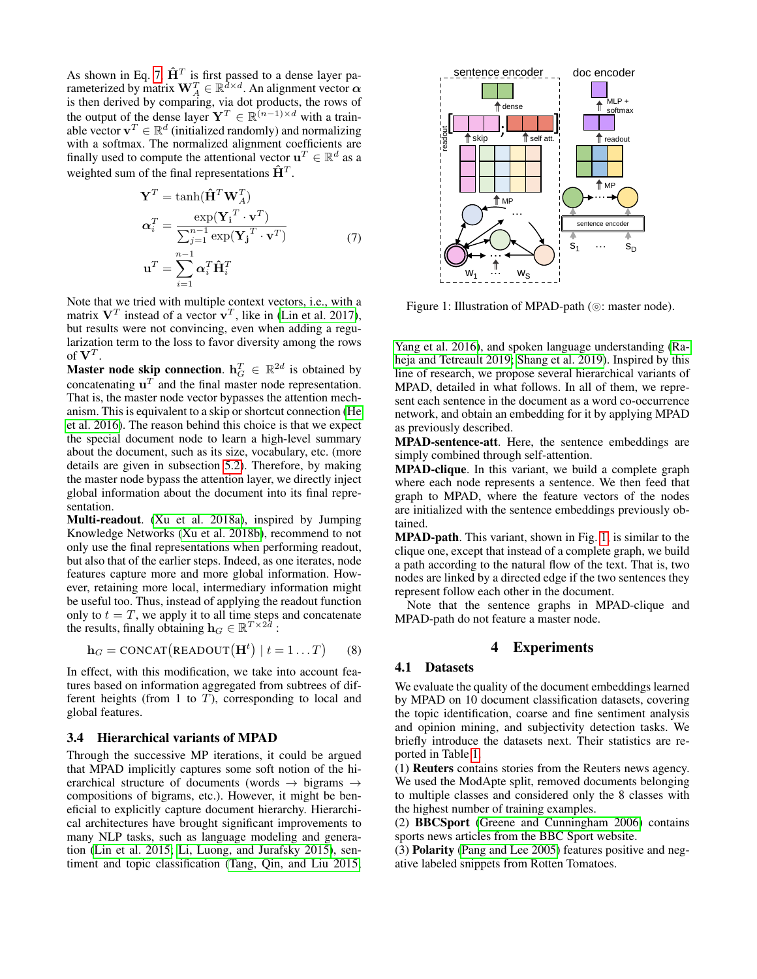As shown in Eq. [7,](#page-2-2)  $\hat{H}^T$  is first passed to a dense layer parameterized by matrix  $\mathbf{W}_A^T \in \mathbb{R}^{\tilde{d} \times d}$ . An alignment vector  $\boldsymbol{\alpha}$ is then derived by comparing, via dot products, the rows of the output of the dense layer  $Y^T \in \mathbb{R}^{(n-1) \times d}$  with a trainable vector  $\mathbf{v}^T \in \mathbb{R}^d$  (initialized randomly) and normalizing with a softmax. The normalized alignment coefficients are finally used to compute the attentional vector  $\mathbf{u}^T \in \mathbb{R}^d$  as a weighted sum of the final representations  $\mathbf{\hat{H}}^{T}$ .

$$
\mathbf{Y}^T = \tanh(\hat{\mathbf{H}}^T \mathbf{W}_A^T)
$$
  
\n
$$
\alpha_i^T = \frac{\exp(\mathbf{Y_i}^T \cdot \mathbf{v}^T)}{\sum_{j=1}^{n-1} \exp(\mathbf{Y_j}^T \cdot \mathbf{v}^T)}
$$
(7)  
\n
$$
\mathbf{u}^T = \sum_{i=1}^{n-1} \alpha_i^T \hat{\mathbf{H}}_i^T
$$

<span id="page-2-2"></span>Note that we tried with multiple context vectors, i.e., with a matrix  $V^T$  instead of a vector  $v^T$ , like in [\(Lin et al. 2017\)](#page-7-10), but results were not convincing, even when adding a regularization term to the loss to favor diversity among the rows of  ${\bf V}^T.$ 

Master node skip connection.  $h_G^T \in \mathbb{R}^{2d}$  is obtained by concatenating  $\mathbf{u}^T$  and the final master node representation. That is, the master node vector bypasses the attention mechanism. This is equivalent to a skip or shortcut connection [\(He](#page-6-10) [et al. 2016\)](#page-6-10). The reason behind this choice is that we expect the special document node to learn a high-level summary about the document, such as its size, vocabulary, etc. (more details are given in subsection [5.2\)](#page-4-1). Therefore, by making the master node bypass the attention layer, we directly inject global information about the document into its final representation.

Multi-readout. [\(Xu et al. 2018a\)](#page-7-5), inspired by Jumping Knowledge Networks [\(Xu et al. 2018b\)](#page-8-0), recommend to not only use the final representations when performing readout, but also that of the earlier steps. Indeed, as one iterates, node features capture more and more global information. However, retaining more local, intermediary information might be useful too. Thus, instead of applying the readout function only to  $t = T$ , we apply it to all time steps and concatenate the results, finally obtaining  $\mathbf{h}_G \in \mathbb{R}^{T \times 2d}$ :

<span id="page-2-1"></span>
$$
\mathbf{h}_G = \text{CONCAT}(\text{READOUT}(\mathbf{H}^t) \mid t = 1...T) \qquad (8)
$$

In effect, with this modification, we take into account features based on information aggregated from subtrees of different heights (from 1 to  $T$ ), corresponding to local and global features.

### 3.4 Hierarchical variants of MPAD

Through the successive MP iterations, it could be argued that MPAD implicitly captures some soft notion of the hierarchical structure of documents (words  $\rightarrow$  bigrams  $\rightarrow$ compositions of bigrams, etc.). However, it might be beneficial to explicitly capture document hierarchy. Hierarchical architectures have brought significant improvements to many NLP tasks, such as language modeling and generation [\(Lin et al. 2015;](#page-7-11) [Li, Luong, and Jurafsky 2015\)](#page-7-12), sentiment and topic classification [\(Tang, Qin, and Liu 2015;](#page-7-13)



<span id="page-2-3"></span>Figure 1: Illustration of MPAD-path ( $\circ$ : master node).

[Yang et al. 2016\)](#page-8-1), and spoken language understanding [\(Ra](#page-7-14)[heja and Tetreault 2019;](#page-7-14) [Shang et al. 2019\)](#page-7-15). Inspired by this line of research, we propose several hierarchical variants of MPAD, detailed in what follows. In all of them, we represent each sentence in the document as a word co-occurrence network, and obtain an embedding for it by applying MPAD as previously described.

MPAD-sentence-att. Here, the sentence embeddings are simply combined through self-attention.

MPAD-clique. In this variant, we build a complete graph where each node represents a sentence. We then feed that graph to MPAD, where the feature vectors of the nodes are initialized with the sentence embeddings previously obtained.

MPAD-path. This variant, shown in Fig. [1,](#page-2-3) is similar to the clique one, except that instead of a complete graph, we build a path according to the natural flow of the text. That is, two nodes are linked by a directed edge if the two sentences they represent follow each other in the document.

Note that the sentence graphs in MPAD-clique and MPAD-path do not feature a master node.

## 4 Experiments

#### <span id="page-2-0"></span>4.1 Datasets

We evaluate the quality of the document embeddings learned by MPAD on 10 document classification datasets, covering the topic identification, coarse and fine sentiment analysis and opinion mining, and subjectivity detection tasks. We briefly introduce the datasets next. Their statistics are reported in Table [1.](#page-3-0)

(1) Reuters contains stories from the Reuters news agency. We used the ModApte split, removed documents belonging to multiple classes and considered only the 8 classes with the highest number of training examples.

(2) BBCSport [\(Greene and Cunningham 2006\)](#page-6-11) contains sports news articles from the BBC Sport website.

(3) Polarity [\(Pang and Lee 2005\)](#page-7-16) features positive and negative labeled snippets from Rotten Tomatoes.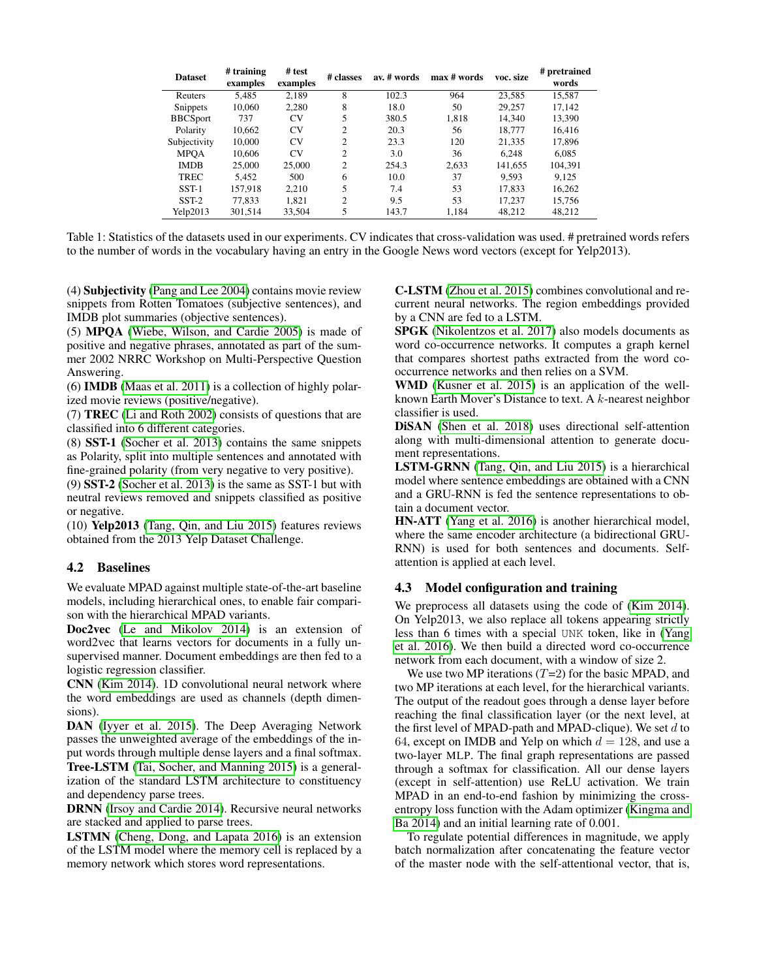| <b>Dataset</b>  | # training<br>examples | # test<br>examples | # classes      | av. # words | max # words | voc. size | # pretrained<br>words |
|-----------------|------------------------|--------------------|----------------|-------------|-------------|-----------|-----------------------|
| Reuters         | 5.485                  | 2,189              | 8              | 102.3       | 964         | 23,585    | 15,587                |
| Snippets        | 10.060                 | 2.280              | 8              | 18.0        | 50          | 29.257    | 17.142                |
| <b>BBCSport</b> | 737                    | CV <sub></sub>     | 5              | 380.5       | 1,818       | 14.340    | 13,390                |
| Polarity        | 10,662                 | CV <sub></sub>     | 2              | 20.3        | 56          | 18.777    | 16,416                |
| Subjectivity    | 10,000                 | CV <sub></sub>     | $\overline{2}$ | 23.3        | 120         | 21,335    | 17,896                |
| <b>MPOA</b>     | 10,606                 | CV <sub></sub>     | $\overline{c}$ | 3.0         | 36          | 6.248     | 6.085                 |
| <b>IMDB</b>     | 25,000                 | 25,000             | $\overline{c}$ | 254.3       | 2,633       | 141.655   | 104,391               |
| <b>TREC</b>     | 5.452                  | 500                | 6              | 10.0        | 37          | 9.593     | 9.125                 |
| $SST-1$         | 157.918                | 2.210              | 5              | 7.4         | 53          | 17.833    | 16.262                |
| $SST-2$         | 77.833                 | 1,821              | $\overline{2}$ | 9.5         | 53          | 17,237    | 15,756                |
| Yelp2013        | 301,514                | 33,504             | 5              | 143.7       | 1.184       | 48,212    | 48.212                |

<span id="page-3-0"></span>Table 1: Statistics of the datasets used in our experiments. CV indicates that cross-validation was used. # pretrained words refers to the number of words in the vocabulary having an entry in the Google News word vectors (except for Yelp2013).

(4) Subjectivity [\(Pang and Lee 2004\)](#page-7-17) contains movie review snippets from Rotten Tomatoes (subjective sentences), and IMDB plot summaries (objective sentences).

(5) MPQA [\(Wiebe, Wilson, and Cardie 2005\)](#page-7-18) is made of positive and negative phrases, annotated as part of the summer 2002 NRRC Workshop on Multi-Perspective Question Answering.

(6) IMDB [\(Maas et al. 2011\)](#page-7-19) is a collection of highly polarized movie reviews (positive/negative).

(7) TREC [\(Li and Roth 2002\)](#page-7-20) consists of questions that are classified into 6 different categories.

(8) SST-1 [\(Socher et al. 2013\)](#page-7-21) contains the same snippets as Polarity, split into multiple sentences and annotated with fine-grained polarity (from very negative to very positive).

(9) SST-2 [\(Socher et al. 2013\)](#page-7-21) is the same as SST-1 but with neutral reviews removed and snippets classified as positive or negative.

(10) Yelp2013 [\(Tang, Qin, and Liu 2015\)](#page-7-13) features reviews obtained from the 2013 Yelp Dataset Challenge.

# 4.2 Baselines

We evaluate MPAD against multiple state-of-the-art baseline models, including hierarchical ones, to enable fair comparison with the hierarchical MPAD variants.

Doc2vec [\(Le and Mikolov 2014\)](#page-6-12) is an extension of word2vec that learns vectors for documents in a fully unsupervised manner. Document embeddings are then fed to a logistic regression classifier.

CNN [\(Kim 2014\)](#page-6-13). 1D convolutional neural network where the word embeddings are used as channels (depth dimensions).

DAN [\(Iyyer et al. 2015\)](#page-6-14). The Deep Averaging Network passes the unweighted average of the embeddings of the input words through multiple dense layers and a final softmax.

Tree-LSTM [\(Tai, Socher, and Manning 2015\)](#page-7-22) is a generalization of the standard LSTM architecture to constituency and dependency parse trees.

DRNN [\(Irsoy and Cardie 2014\)](#page-6-15). Recursive neural networks are stacked and applied to parse trees.

LSTMN [\(Cheng, Dong, and Lapata 2016\)](#page-6-16) is an extension of the LSTM model where the memory cell is replaced by a memory network which stores word representations.

C-LSTM [\(Zhou et al. 2015\)](#page-8-2) combines convolutional and recurrent neural networks. The region embeddings provided by a CNN are fed to a LSTM.

SPGK [\(Nikolentzos et al. 2017\)](#page-7-23) also models documents as word co-occurrence networks. It computes a graph kernel that compares shortest paths extracted from the word cooccurrence networks and then relies on a SVM.

WMD [\(Kusner et al. 2015\)](#page-6-17) is an application of the wellknown Earth Mover's Distance to text. A k-nearest neighbor classifier is used.

DiSAN [\(Shen et al. 2018\)](#page-7-24) uses directional self-attention along with multi-dimensional attention to generate document representations.

LSTM-GRNN [\(Tang, Qin, and Liu 2015\)](#page-7-13) is a hierarchical model where sentence embeddings are obtained with a CNN and a GRU-RNN is fed the sentence representations to obtain a document vector.

HN-ATT [\(Yang et al. 2016\)](#page-8-1) is another hierarchical model, where the same encoder architecture (a bidirectional GRU-RNN) is used for both sentences and documents. Selfattention is applied at each level.

# 4.3 Model configuration and training

We preprocess all datasets using the code of [\(Kim 2014\)](#page-6-13). On Yelp2013, we also replace all tokens appearing strictly less than 6 times with a special UNK token, like in [\(Yang](#page-8-1) [et al. 2016\)](#page-8-1). We then build a directed word co-occurrence network from each document, with a window of size 2.

We use two MP iterations  $(T=2)$  for the basic MPAD, and two MP iterations at each level, for the hierarchical variants. The output of the readout goes through a dense layer before reaching the final classification layer (or the next level, at the first level of MPAD-path and MPAD-clique). We set  $d$  to 64, except on IMDB and Yelp on which  $d = 128$ , and use a two-layer MLP. The final graph representations are passed through a softmax for classification. All our dense layers (except in self-attention) use ReLU activation. We train MPAD in an end-to-end fashion by minimizing the crossentropy loss function with the Adam optimizer [\(Kingma and](#page-6-18) [Ba 2014\)](#page-6-18) and an initial learning rate of 0.001.

To regulate potential differences in magnitude, we apply batch normalization after concatenating the feature vector of the master node with the self-attentional vector, that is,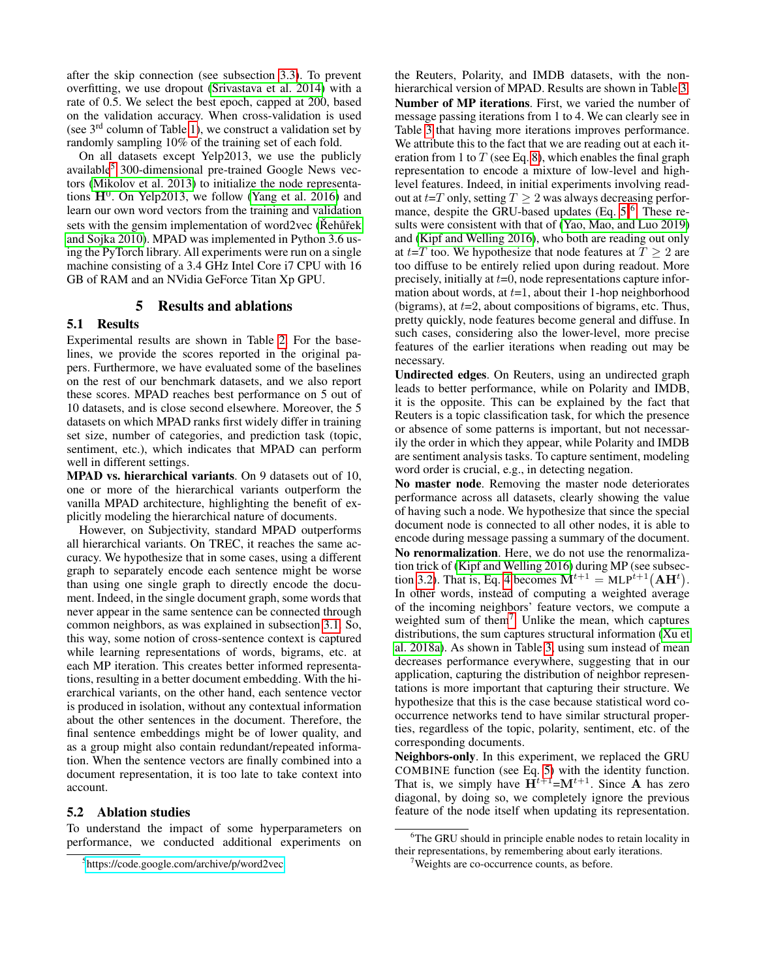after the skip connection (see subsection [3.3\)](#page-1-5). To prevent overfitting, we use dropout [\(Srivastava et al. 2014\)](#page-7-25) with a rate of 0.5. We select the best epoch, capped at 200, based on the validation accuracy. When cross-validation is used (see  $3<sup>rd</sup>$  column of Table [1\)](#page-3-0), we construct a validation set by randomly sampling 10% of the training set of each fold.

On all datasets except Yelp2013, we use the publicly available[5](#page-4-2) 300-dimensional pre-trained Google News vectors [\(Mikolov et al. 2013\)](#page-7-26) to initialize the node representations  $H^0$ . On Yelp2013, we follow [\(Yang et al. 2016\)](#page-8-1) and learn our own word vectors from the training and validation sets with the gensim implementation of word $2$  vec (Rehů rekervent of u• $\alpha$  units) [and Sojka 2010\)](#page-7-27). MPAD was implemented in Python 3.6 using the PyTorch library. All experiments were run on a single machine consisting of a 3.4 GHz Intel Core i7 CPU with 16 GB of RAM and an NVidia GeForce Titan Xp GPU.

# 5 Results and ablations

# <span id="page-4-0"></span>5.1 Results

Experimental results are shown in Table [2.](#page-5-1) For the baselines, we provide the scores reported in the original papers. Furthermore, we have evaluated some of the baselines on the rest of our benchmark datasets, and we also report these scores. MPAD reaches best performance on 5 out of 10 datasets, and is close second elsewhere. Moreover, the 5 datasets on which MPAD ranks first widely differ in training set size, number of categories, and prediction task (topic, sentiment, etc.), which indicates that MPAD can perform well in different settings.

MPAD vs. hierarchical variants. On 9 datasets out of 10, one or more of the hierarchical variants outperform the vanilla MPAD architecture, highlighting the benefit of explicitly modeling the hierarchical nature of documents.

However, on Subjectivity, standard MPAD outperforms all hierarchical variants. On TREC, it reaches the same accuracy. We hypothesize that in some cases, using a different graph to separately encode each sentence might be worse than using one single graph to directly encode the document. Indeed, in the single document graph, some words that never appear in the same sentence can be connected through common neighbors, as was explained in subsection [3.1.](#page-1-6) So, this way, some notion of cross-sentence context is captured while learning representations of words, bigrams, etc. at each MP iteration. This creates better informed representations, resulting in a better document embedding. With the hierarchical variants, on the other hand, each sentence vector is produced in isolation, without any contextual information about the other sentences in the document. Therefore, the final sentence embeddings might be of lower quality, and as a group might also contain redundant/repeated information. When the sentence vectors are finally combined into a document representation, it is too late to take context into account.

### <span id="page-4-1"></span>5.2 Ablation studies

To understand the impact of some hyperparameters on performance, we conducted additional experiments on

the Reuters, Polarity, and IMDB datasets, with the nonhierarchical version of MPAD. Results are shown in Table [3.](#page-5-2) Number of MP iterations. First, we varied the number of message passing iterations from 1 to 4. We can clearly see in Table [3](#page-5-2) that having more iterations improves performance. We attribute this to the fact that we are reading out at each iteration from 1 to  $T$  (see Eq. [8\)](#page-2-1), which enables the final graph representation to encode a mixture of low-level and highlevel features. Indeed, in initial experiments involving readout at  $t=T$  only, setting  $T \geq 2$  was always decreasing performance, despite the GRU-based updates  $(Eq. 5)^6$  $(Eq. 5)^6$  $(Eq. 5)^6$  $(Eq. 5)^6$ . These results were consistent with that of [\(Yao, Mao, and Luo 2019\)](#page-8-3) and [\(Kipf and Welling 2016\)](#page-6-5), who both are reading out only at  $t=T$  too. We hypothesize that node features at  $T \geq 2$  are too diffuse to be entirely relied upon during readout. More precisely, initially at  $t=0$ , node representations capture information about words, at  $t=1$ , about their 1-hop neighborhood (bigrams), at  $t=2$ , about compositions of bigrams, etc. Thus, pretty quickly, node features become general and diffuse. In such cases, considering also the lower-level, more precise features of the earlier iterations when reading out may be necessary.

Undirected edges. On Reuters, using an undirected graph leads to better performance, while on Polarity and IMDB, it is the opposite. This can be explained by the fact that Reuters is a topic classification task, for which the presence or absence of some patterns is important, but not necessarily the order in which they appear, while Polarity and IMDB are sentiment analysis tasks. To capture sentiment, modeling word order is crucial, e.g., in detecting negation.

No master node. Removing the master node deteriorates performance across all datasets, clearly showing the value of having such a node. We hypothesize that since the special document node is connected to all other nodes, it is able to encode during message passing a summary of the document. No renormalization. Here, we do not use the renormalization trick of [\(Kipf and Welling 2016\)](#page-6-5) during MP (see subsec-tion [3.2\)](#page-1-7). That is, Eq. [4](#page-1-8) becomes  $M^{t+1} = MLP^{t+1}(AH^t)$ . In other words, instead of computing a weighted average of the incoming neighbors' feature vectors, we compute a weighted sum of them<sup>[7](#page-4-4)</sup>. Unlike the mean, which captures distributions, the sum captures structural information [\(Xu et](#page-7-5) [al. 2018a\)](#page-7-5). As shown in Table [3,](#page-5-2) using sum instead of mean decreases performance everywhere, suggesting that in our application, capturing the distribution of neighbor representations is more important that capturing their structure. We hypothesize that this is the case because statistical word cooccurrence networks tend to have similar structural properties, regardless of the topic, polarity, sentiment, etc. of the corresponding documents.

Neighbors-only. In this experiment, we replaced the GRU COMBINE function (see Eq. [5\)](#page-1-4) with the identity function. That is, we simply have  $\mathbf{H}^{t+1} = \mathbf{M}^{t+1}$ . Since A has zero diagonal, by doing so, we completely ignore the previous feature of the node itself when updating its representation.

<span id="page-4-2"></span><sup>5</sup> <https://code.google.com/archive/p/word2vec>

<span id="page-4-3"></span><sup>&</sup>lt;sup>6</sup>The GRU should in principle enable nodes to retain locality in their representations, by remembering about early iterations.

<span id="page-4-4"></span><sup>&</sup>lt;sup>7</sup>Weights are co-occurrence counts, as before.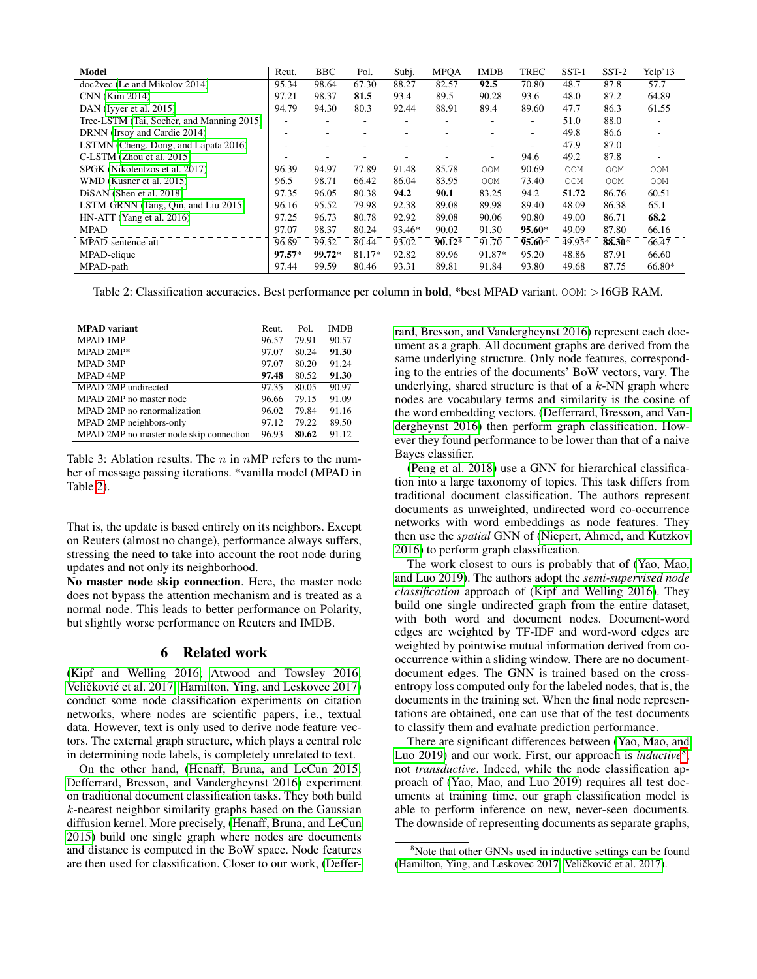| Model                                     | Reut.    | <b>BBC</b> | Pol.   | Subj.  | <b>MPOA</b> | <b>IMDB</b> | <b>TREC</b> | $SST-1$ | $SST-2$ | Yelp'13 |
|-------------------------------------------|----------|------------|--------|--------|-------------|-------------|-------------|---------|---------|---------|
| doc2vec (Le and Mikolov 2014)             | 95.34    | 98.64      | 67.30  | 88.27  | 82.57       | 92.5        | 70.80       | 48.7    | 87.8    | 57.7    |
| CNN (Kim 2014)                            | 97.21    | 98.37      | 81.5   | 93.4   | 89.5        | 90.28       | 93.6        | 48.0    | 87.2    | 64.89   |
| DAN (Iyyer et al. 2015)                   | 94.79    | 94.30      | 80.3   | 92.44  | 88.91       | 89.4        | 89.60       | 47.7    | 86.3    | 61.55   |
| Tree-LSTM (Tai, Socher, and Manning 2015) |          |            | ۰      | ۰      | ۰           | ۰           | ۰           | 51.0    | 88.0    | ۰       |
| DRNN (Irsoy and Cardie 2014)              |          |            | ۰      |        | ۰           |             | ۰.          | 49.8    | 86.6    | ٠       |
| LSTMN (Cheng, Dong, and Lapata 2016)      |          |            | -      |        | ۰           | ۰           | ۰           | 47.9    | 87.0    | ۰       |
| C-LSTM (Zhou et al. 2015)                 |          |            | ۰      |        |             | ٠           | 94.6        | 49.2    | 87.8    | ٠       |
| SPGK (Nikolentzos et al. 2017)            | 96.39    | 94.97      | 77.89  | 91.48  | 85.78       | <b>OOM</b>  | 90.69       | OOM     | OOM     | OOM     |
| WMD (Kusner et al. 2015)                  | 96.5     | 98.71      | 66.42  | 86.04  | 83.95       | 00M         | 73.40       | 00M     | OOM     | OOM     |
| DiSAN (Shen et al. 2018)                  | 97.35    | 96.05      | 80.38  | 94.2   | 90.1        | 83.25       | 94.2        | 51.72   | 86.76   | 60.51   |
| LSTM-GRNN (Tang, Qin, and Liu 2015)       | 96.16    | 95.52      | 79.98  | 92.38  | 89.08       | 89.98       | 89.40       | 48.09   | 86.38   | 65.1    |
| $HN-ATT$ (Yang et al. 2016)               | 97.25    | 96.73      | 80.78  | 92.92  | 89.08       | 90.06       | 90.80       | 49.00   | 86.71   | 68.2    |
| <b>MPAD</b>                               | 97.07    | 98.37      | 80.24  | 93.46* | 90.02       | 91.30       | $95.60*$    | 49.09   | 87.80   | 66.16   |
| MPAD-sentence-att                         | 96.89    | 99.32      | 80.44  | 93.02  | $90.12*$    | 91.70       | $95.60*$    | 49.95*  | 88.30*  | 66.47   |
| MPAD-clique                               | $97.57*$ | $99.72*$   | 81.17* | 92.82  | 89.96       | 91.87*      | 95.20       | 48.86   | 87.91   | 66.60   |
| MPAD-path                                 | 97.44    | 99.59      | 80.46  | 93.31  | 89.81       | 91.84       | 93.80       | 49.68   | 87.75   | 66.80*  |

<span id="page-5-1"></span>Table 2: Classification accuracies. Best performance per column in **bold**, \*best MPAD variant. OOM: >16GB RAM.

| <b>MPAD</b> variant                     | Reut. | Pol.  | <b>IMDB</b> |
|-----------------------------------------|-------|-------|-------------|
| <b>MPAD 1MP</b>                         | 96.57 | 79.91 | 90.57       |
| MPAD 2MP*                               | 97.07 | 80.24 | 91.30       |
| <b>MPAD 3MP</b>                         | 97.07 | 80.20 | 91.24       |
| <b>MPAD 4MP</b>                         | 97.48 | 80.52 | 91.30       |
| MPAD 2MP undirected                     | 97.35 | 80.05 | 90.97       |
| MPAD 2MP no master node                 | 96.66 | 79.15 | 91.09       |
| MPAD 2MP no renormalization             | 96.02 | 79.84 | 91.16       |
| MPAD 2MP neighbors-only                 | 97.12 | 79.22 | 89.50       |
| MPAD 2MP no master node skip connection | 96.93 | 80.62 | 91.12       |

<span id="page-5-2"></span>Table 3: Ablation results. The  $n$  in  $nMP$  refers to the number of message passing iterations. \*vanilla model (MPAD in Table [2\)](#page-5-1).

That is, the update is based entirely on its neighbors. Except on Reuters (almost no change), performance always suffers, stressing the need to take into account the root node during updates and not only its neighborhood.

No master node skip connection. Here, the master node does not bypass the attention mechanism and is treated as a normal node. This leads to better performance on Polarity, but slightly worse performance on Reuters and IMDB.

## 6 Related work

<span id="page-5-0"></span>[\(Kipf and Welling 2016;](#page-6-5) [Atwood and Towsley 2016;](#page-6-19) Veličković et al. 2017; [Hamilton, Ying, and Leskovec 2017\)](#page-6-6) conduct some node classification experiments on citation networks, where nodes are scientific papers, i.e., textual data. However, text is only used to derive node feature vectors. The external graph structure, which plays a central role in determining node labels, is completely unrelated to text.

On the other hand, [\(Henaff, Bruna, and LeCun 2015;](#page-6-20) [Defferrard, Bresson, and Vandergheynst 2016\)](#page-6-3) experiment on traditional document classification tasks. They both build k-nearest neighbor similarity graphs based on the Gaussian diffusion kernel. More precisely, [\(Henaff, Bruna, and LeCun](#page-6-20) [2015\)](#page-6-20) build one single graph where nodes are documents and distance is computed in the BoW space. Node features are then used for classification. Closer to our work, [\(Deffer-](#page-6-3) [rard, Bresson, and Vandergheynst 2016\)](#page-6-3) represent each document as a graph. All document graphs are derived from the same underlying structure. Only node features, corresponding to the entries of the documents' BoW vectors, vary. The underlying, shared structure is that of a  $k$ -NN graph where nodes are vocabulary terms and similarity is the cosine of the word embedding vectors. [\(Defferrard, Bresson, and Van](#page-6-3)[dergheynst 2016\)](#page-6-3) then perform graph classification. However they found performance to be lower than that of a naive Bayes classifier.

[\(Peng et al. 2018\)](#page-7-28) use a GNN for hierarchical classification into a large taxonomy of topics. This task differs from traditional document classification. The authors represent documents as unweighted, undirected word co-occurrence networks with word embeddings as node features. They then use the *spatial* GNN of [\(Niepert, Ahmed, and Kutzkov](#page-7-6) [2016\)](#page-7-6) to perform graph classification.

The work closest to ours is probably that of [\(Yao, Mao,](#page-8-3) [and Luo 2019\)](#page-8-3). The authors adopt the *semi-supervised node classification* approach of [\(Kipf and Welling 2016\)](#page-6-5). They build one single undirected graph from the entire dataset, with both word and document nodes. Document-word edges are weighted by TF-IDF and word-word edges are weighted by pointwise mutual information derived from cooccurrence within a sliding window. There are no documentdocument edges. The GNN is trained based on the crossentropy loss computed only for the labeled nodes, that is, the documents in the training set. When the final node representations are obtained, one can use that of the test documents to classify them and evaluate prediction performance.

There are significant differences between [\(Yao, Mao, and](#page-8-3) [Luo 2019\)](#page-8-3) and our work. First, our approach is *inductive*[8](#page-5-3) , not *transductive*. Indeed, while the node classification approach of [\(Yao, Mao, and Luo 2019\)](#page-8-3) requires all test documents at training time, our graph classification model is able to perform inference on new, never-seen documents. The downside of representing documents as separate graphs,

<span id="page-5-3"></span><sup>&</sup>lt;sup>8</sup>Note that other GNNs used in inductive settings can be found [\(Hamilton, Ying, and Leskovec 2017;](#page-6-6) Veličković et al. 2017).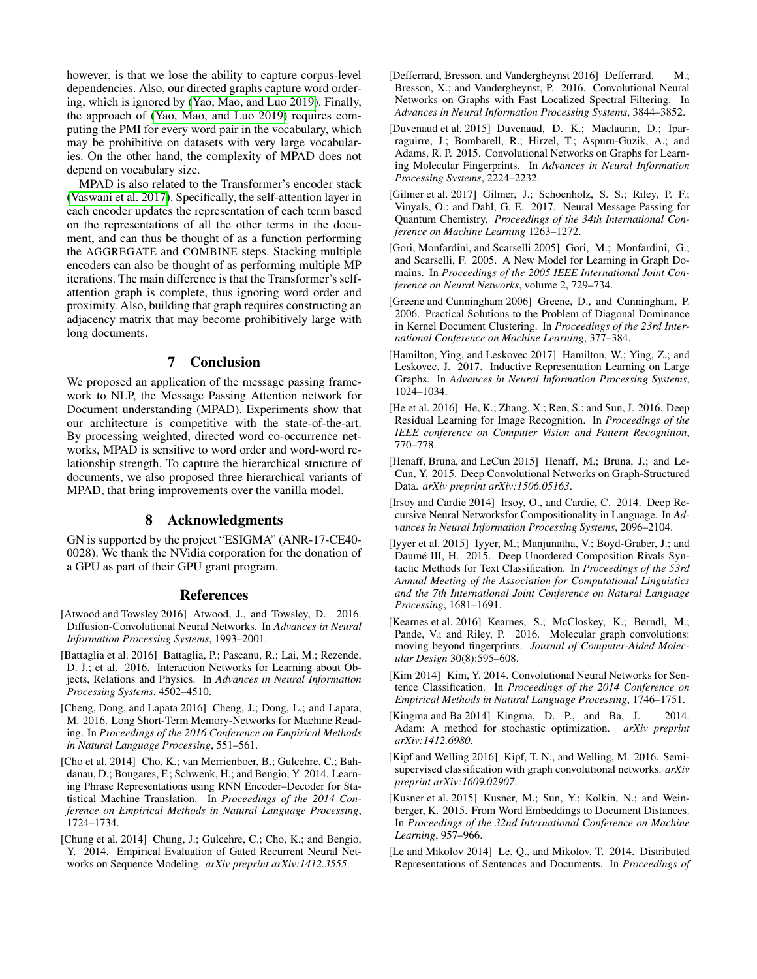however, is that we lose the ability to capture corpus-level dependencies. Also, our directed graphs capture word ordering, which is ignored by [\(Yao, Mao, and Luo 2019\)](#page-8-3). Finally, the approach of [\(Yao, Mao, and Luo 2019\)](#page-8-3) requires computing the PMI for every word pair in the vocabulary, which may be prohibitive on datasets with very large vocabularies. On the other hand, the complexity of MPAD does not depend on vocabulary size.

MPAD is also related to the Transformer's encoder stack [\(Vaswani et al. 2017\)](#page-7-29). Specifically, the self-attention layer in each encoder updates the representation of each term based on the representations of all the other terms in the document, and can thus be thought of as a function performing the AGGREGATE and COMBINE steps. Stacking multiple encoders can also be thought of as performing multiple MP iterations. The main difference is that the Transformer's selfattention graph is complete, thus ignoring word order and proximity. Also, building that graph requires constructing an adjacency matrix that may become prohibitively large with long documents.

# 7 Conclusion

We proposed an application of the message passing framework to NLP, the Message Passing Attention network for Document understanding (MPAD). Experiments show that our architecture is competitive with the state-of-the-art. By processing weighted, directed word co-occurrence networks, MPAD is sensitive to word order and word-word relationship strength. To capture the hierarchical structure of documents, we also proposed three hierarchical variants of MPAD, that bring improvements over the vanilla model.

# 8 Acknowledgments

GN is supported by the project "ESIGMA" (ANR-17-CE40- 0028). We thank the NVidia corporation for the donation of a GPU as part of their GPU grant program.

## References

- <span id="page-6-19"></span>[Atwood and Towsley 2016] Atwood, J., and Towsley, D. 2016. Diffusion-Convolutional Neural Networks. In *Advances in Neural Information Processing Systems*, 1993–2001.
- <span id="page-6-2"></span>[Battaglia et al. 2016] Battaglia, P.; Pascanu, R.; Lai, M.; Rezende, D. J.; et al. 2016. Interaction Networks for Learning about Objects, Relations and Physics. In *Advances in Neural Information Processing Systems*, 4502–4510.
- <span id="page-6-16"></span>[Cheng, Dong, and Lapata 2016] Cheng, J.; Dong, L.; and Lapata, M. 2016. Long Short-Term Memory-Networks for Machine Reading. In *Proceedings of the 2016 Conference on Empirical Methods in Natural Language Processing*, 551–561.
- <span id="page-6-8"></span>[Cho et al. 2014] Cho, K.; van Merrienboer, B.; Gulcehre, C.; Bahdanau, D.; Bougares, F.; Schwenk, H.; and Bengio, Y. 2014. Learning Phrase Representations using RNN Encoder–Decoder for Statistical Machine Translation. In *Proceedings of the 2014 Conference on Empirical Methods in Natural Language Processing*, 1724–1734.
- <span id="page-6-9"></span>[Chung et al. 2014] Chung, J.; Gulcehre, C.; Cho, K.; and Bengio, Y. 2014. Empirical Evaluation of Gated Recurrent Neural Networks on Sequence Modeling. *arXiv preprint arXiv:1412.3555*.
- <span id="page-6-3"></span>[Defferrard, Bresson, and Vandergheynst 2016] Defferrard, M.; Bresson, X.; and Vandergheynst, P. 2016. Convolutional Neural Networks on Graphs with Fast Localized Spectral Filtering. In *Advances in Neural Information Processing Systems*, 3844–3852.
- <span id="page-6-1"></span>[Duvenaud et al. 2015] Duvenaud, D. K.; Maclaurin, D.; Iparraguirre, J.; Bombarell, R.; Hirzel, T.; Aspuru-Guzik, A.; and Adams, R. P. 2015. Convolutional Networks on Graphs for Learning Molecular Fingerprints. In *Advances in Neural Information Processing Systems*, 2224–2232.
- <span id="page-6-7"></span>[Gilmer et al. 2017] Gilmer, J.; Schoenholz, S. S.; Riley, P. F.; Vinyals, O.; and Dahl, G. E. 2017. Neural Message Passing for Quantum Chemistry. *Proceedings of the 34th International Conference on Machine Learning* 1263–1272.
- <span id="page-6-0"></span>[Gori, Monfardini, and Scarselli 2005] Gori, M.; Monfardini, G.; and Scarselli, F. 2005. A New Model for Learning in Graph Domains. In *Proceedings of the 2005 IEEE International Joint Conference on Neural Networks*, volume 2, 729–734.
- <span id="page-6-11"></span>[Greene and Cunningham 2006] Greene, D., and Cunningham, P. 2006. Practical Solutions to the Problem of Diagonal Dominance in Kernel Document Clustering. In *Proceedings of the 23rd International Conference on Machine Learning*, 377–384.
- <span id="page-6-6"></span>[Hamilton, Ying, and Leskovec 2017] Hamilton, W.; Ying, Z.; and Leskovec, J. 2017. Inductive Representation Learning on Large Graphs. In *Advances in Neural Information Processing Systems*, 1024–1034.
- <span id="page-6-10"></span>[He et al. 2016] He, K.; Zhang, X.; Ren, S.; and Sun, J. 2016. Deep Residual Learning for Image Recognition. In *Proceedings of the IEEE conference on Computer Vision and Pattern Recognition*, 770–778.
- <span id="page-6-20"></span>[Henaff, Bruna, and LeCun 2015] Henaff, M.; Bruna, J.; and Le-Cun, Y. 2015. Deep Convolutional Networks on Graph-Structured Data. *arXiv preprint arXiv:1506.05163*.
- <span id="page-6-15"></span>[Irsoy and Cardie 2014] Irsoy, O., and Cardie, C. 2014. Deep Recursive Neural Networksfor Compositionality in Language. In *Advances in Neural Information Processing Systems*, 2096–2104.
- <span id="page-6-14"></span>[Iyyer et al. 2015] Iyyer, M.; Manjunatha, V.; Boyd-Graber, J.; and Daumé III, H. 2015. Deep Unordered Composition Rivals Syntactic Methods for Text Classification. In *Proceedings of the 53rd Annual Meeting of the Association for Computational Linguistics and the 7th International Joint Conference on Natural Language Processing*, 1681–1691.
- <span id="page-6-4"></span>[Kearnes et al. 2016] Kearnes, S.; McCloskey, K.; Berndl, M.; Pande, V.; and Riley, P. 2016. Molecular graph convolutions: moving beyond fingerprints. *Journal of Computer-Aided Molecular Design* 30(8):595–608.
- <span id="page-6-13"></span>[Kim 2014] Kim, Y. 2014. Convolutional Neural Networks for Sentence Classification. In *Proceedings of the 2014 Conference on Empirical Methods in Natural Language Processing*, 1746–1751.
- <span id="page-6-18"></span>[Kingma and Ba 2014] Kingma, D. P., and Ba, J. 2014. Adam: A method for stochastic optimization. *arXiv preprint arXiv:1412.6980*.
- <span id="page-6-5"></span>[Kipf and Welling 2016] Kipf, T. N., and Welling, M. 2016. Semisupervised classification with graph convolutional networks. *arXiv preprint arXiv:1609.02907*.
- <span id="page-6-17"></span>[Kusner et al. 2015] Kusner, M.; Sun, Y.; Kolkin, N.; and Weinberger, K. 2015. From Word Embeddings to Document Distances. In *Proceedings of the 32nd International Conference on Machine Learning*, 957–966.
- <span id="page-6-12"></span>[Le and Mikolov 2014] Le, Q., and Mikolov, T. 2014. Distributed Representations of Sentences and Documents. In *Proceedings of*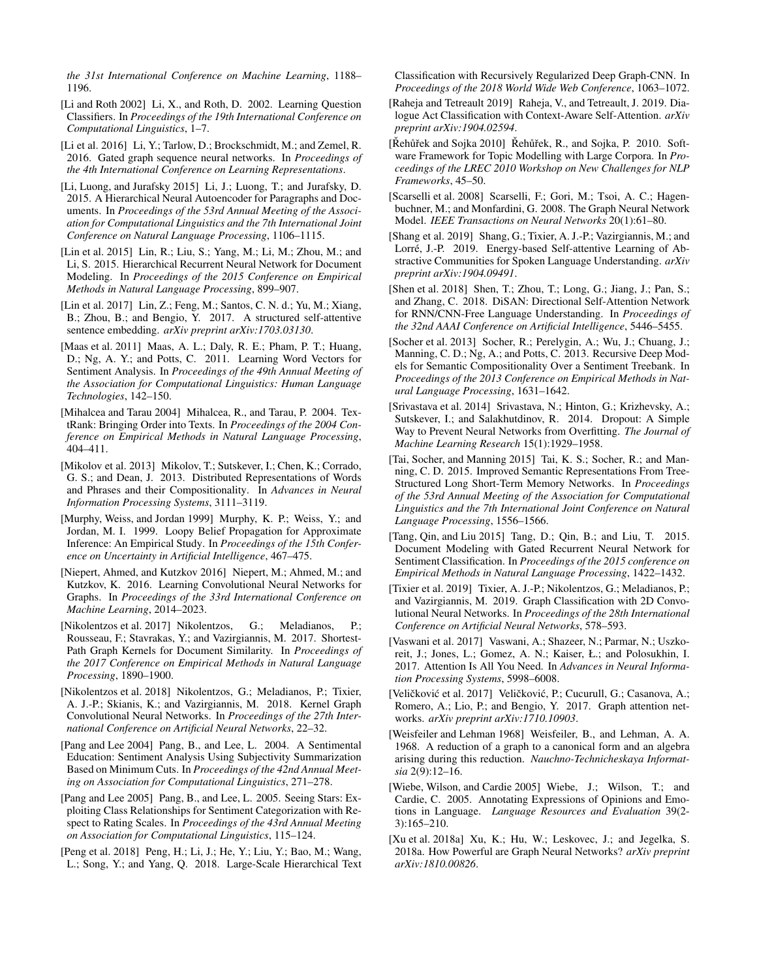*the 31st International Conference on Machine Learning*, 1188– 1196.

- <span id="page-7-20"></span>[Li and Roth 2002] Li, X., and Roth, D. 2002. Learning Question Classifiers. In *Proceedings of the 19th International Conference on Computational Linguistics*, 1–7.
- <span id="page-7-3"></span>[Li et al. 2016] Li, Y.; Tarlow, D.; Brockschmidt, M.; and Zemel, R. 2016. Gated graph sequence neural networks. In *Proceedings of the 4th International Conference on Learning Representations*.
- <span id="page-7-12"></span>[Li, Luong, and Jurafsky 2015] Li, J.; Luong, T.; and Jurafsky, D. 2015. A Hierarchical Neural Autoencoder for Paragraphs and Documents. In *Proceedings of the 53rd Annual Meeting of the Association for Computational Linguistics and the 7th International Joint Conference on Natural Language Processing*, 1106–1115.
- <span id="page-7-11"></span>[Lin et al. 2015] Lin, R.; Liu, S.; Yang, M.; Li, M.; Zhou, M.; and Li, S. 2015. Hierarchical Recurrent Neural Network for Document Modeling. In *Proceedings of the 2015 Conference on Empirical Methods in Natural Language Processing*, 899–907.
- <span id="page-7-10"></span>[Lin et al. 2017] Lin, Z.; Feng, M.; Santos, C. N. d.; Yu, M.; Xiang, B.; Zhou, B.; and Bengio, Y. 2017. A structured self-attentive sentence embedding. *arXiv preprint arXiv:1703.03130*.
- <span id="page-7-19"></span>[Maas et al. 2011] Maas, A. L.; Daly, R. E.; Pham, P. T.; Huang, D.; Ng, A. Y.; and Potts, C. 2011. Learning Word Vectors for Sentiment Analysis. In *Proceedings of the 49th Annual Meeting of the Association for Computational Linguistics: Human Language Technologies*, 142–150.
- <span id="page-7-9"></span>[Mihalcea and Tarau 2004] Mihalcea, R., and Tarau, P. 2004. TextRank: Bringing Order into Texts. In *Proceedings of the 2004 Conference on Empirical Methods in Natural Language Processing*, 404–411.
- <span id="page-7-26"></span>[Mikolov et al. 2013] Mikolov, T.; Sutskever, I.; Chen, K.; Corrado, G. S.; and Dean, J. 2013. Distributed Representations of Words and Phrases and their Compositionality. In *Advances in Neural Information Processing Systems*, 3111–3119.
- <span id="page-7-1"></span>[Murphy, Weiss, and Jordan 1999] Murphy, K. P.; Weiss, Y.; and Jordan, M. I. 1999. Loopy Belief Propagation for Approximate Inference: An Empirical Study. In *Proceedings of the 15th Conference on Uncertainty in Artificial Intelligence*, 467–475.
- <span id="page-7-6"></span>[Niepert, Ahmed, and Kutzkov 2016] Niepert, M.; Ahmed, M.; and Kutzkov, K. 2016. Learning Convolutional Neural Networks for Graphs. In *Proceedings of the 33rd International Conference on Machine Learning*, 2014–2023.
- <span id="page-7-23"></span>[Nikolentzos et al. 2017] Nikolentzos, G.; Meladianos, P.; Rousseau, F.; Stavrakas, Y.; and Vazirgiannis, M. 2017. Shortest-Path Graph Kernels for Document Similarity. In *Proceedings of the 2017 Conference on Empirical Methods in Natural Language Processing*, 1890–1900.
- <span id="page-7-7"></span>[Nikolentzos et al. 2018] Nikolentzos, G.; Meladianos, P.; Tixier, A. J.-P.; Skianis, K.; and Vazirgiannis, M. 2018. Kernel Graph Convolutional Neural Networks. In *Proceedings of the 27th International Conference on Artificial Neural Networks*, 22–32.
- <span id="page-7-17"></span>[Pang and Lee 2004] Pang, B., and Lee, L. 2004. A Sentimental Education: Sentiment Analysis Using Subjectivity Summarization Based on Minimum Cuts. In *Proceedings of the 42nd Annual Meeting on Association for Computational Linguistics*, 271–278.
- <span id="page-7-16"></span>[Pang and Lee 2005] Pang, B., and Lee, L. 2005. Seeing Stars: Exploiting Class Relationships for Sentiment Categorization with Respect to Rating Scales. In *Proceedings of the 43rd Annual Meeting on Association for Computational Linguistics*, 115–124.
- <span id="page-7-28"></span>[Peng et al. 2018] Peng, H.; Li, J.; He, Y.; Liu, Y.; Bao, M.; Wang, L.; Song, Y.; and Yang, Q. 2018. Large-Scale Hierarchical Text

Classification with Recursively Regularized Deep Graph-CNN. In *Proceedings of the 2018 World Wide Web Conference*, 1063–1072.

- <span id="page-7-14"></span>[Raheja and Tetreault 2019] Raheja, V., and Tetreault, J. 2019. Dialogue Act Classification with Context-Aware Self-Attention. *arXiv preprint arXiv:1904.02594*.
- <span id="page-7-27"></span>[Řehůřek and Sojka 2010] Řehůřek, R., and Sojka, P. 2010. Software Framework for Topic Modelling with Large Corpora. In *Proceedings of the LREC 2010 Workshop on New Challenges for NLP Frameworks*, 45–50.
- <span id="page-7-2"></span>[Scarselli et al. 2008] Scarselli, F.; Gori, M.; Tsoi, A. C.; Hagenbuchner, M.; and Monfardini, G. 2008. The Graph Neural Network Model. *IEEE Transactions on Neural Networks* 20(1):61–80.
- <span id="page-7-15"></span>[Shang et al. 2019] Shang, G.; Tixier, A. J.-P.; Vazirgiannis, M.; and Lorré, J.-P. 2019. Energy-based Self-attentive Learning of Abstractive Communities for Spoken Language Understanding. *arXiv preprint arXiv:1904.09491*.
- <span id="page-7-24"></span>[Shen et al. 2018] Shen, T.; Zhou, T.; Long, G.; Jiang, J.; Pan, S.; and Zhang, C. 2018. DiSAN: Directional Self-Attention Network for RNN/CNN-Free Language Understanding. In *Proceedings of the 32nd AAAI Conference on Artificial Intelligence*, 5446–5455.
- <span id="page-7-21"></span>[Socher et al. 2013] Socher, R.; Perelygin, A.; Wu, J.; Chuang, J.; Manning, C. D.; Ng, A.; and Potts, C. 2013. Recursive Deep Models for Semantic Compositionality Over a Sentiment Treebank. In *Proceedings of the 2013 Conference on Empirical Methods in Natural Language Processing*, 1631–1642.
- <span id="page-7-25"></span>[Srivastava et al. 2014] Srivastava, N.; Hinton, G.; Krizhevsky, A.; Sutskever, I.; and Salakhutdinov, R. 2014. Dropout: A Simple Way to Prevent Neural Networks from Overfitting. *The Journal of Machine Learning Research* 15(1):1929–1958.
- <span id="page-7-22"></span>[Tai, Socher, and Manning 2015] Tai, K. S.; Socher, R.; and Manning, C. D. 2015. Improved Semantic Representations From Tree-Structured Long Short-Term Memory Networks. In *Proceedings of the 53rd Annual Meeting of the Association for Computational Linguistics and the 7th International Joint Conference on Natural Language Processing*, 1556–1566.
- <span id="page-7-13"></span>[Tang, Qin, and Liu 2015] Tang, D.; Qin, B.; and Liu, T. 2015. Document Modeling with Gated Recurrent Neural Network for Sentiment Classification. In *Proceedings of the 2015 conference on Empirical Methods in Natural Language Processing*, 1422–1432.
- <span id="page-7-8"></span>[Tixier et al. 2019] Tixier, A. J.-P.; Nikolentzos, G.; Meladianos, P.; and Vazirgiannis, M. 2019. Graph Classification with 2D Convolutional Neural Networks. In *Proceedings of the 28th International Conference on Artificial Neural Networks*, 578–593.
- <span id="page-7-29"></span>[Vaswani et al. 2017] Vaswani, A.; Shazeer, N.; Parmar, N.; Uszkoreit, J.; Jones, L.; Gomez, A. N.; Kaiser, Ł.; and Polosukhin, I. 2017. Attention Is All You Need. In *Advances in Neural Information Processing Systems*, 5998–6008.
- <span id="page-7-4"></span>[Veličković et al. 2017] Veličković, P.; Cucurull, G.; Casanova, A.; Romero, A.; Lio, P.; and Bengio, Y. 2017. Graph attention networks. *arXiv preprint arXiv:1710.10903*.
- <span id="page-7-0"></span>[Weisfeiler and Lehman 1968] Weisfeiler, B., and Lehman, A. A. 1968. A reduction of a graph to a canonical form and an algebra arising during this reduction. *Nauchno-Technicheskaya Informatsia* 2(9):12–16.
- <span id="page-7-18"></span>[Wiebe, Wilson, and Cardie 2005] Wiebe, J.; Wilson, T.; and Cardie, C. 2005. Annotating Expressions of Opinions and Emotions in Language. *Language Resources and Evaluation* 39(2- 3):165–210.
- <span id="page-7-5"></span>[Xu et al. 2018a] Xu, K.; Hu, W.; Leskovec, J.; and Jegelka, S. 2018a. How Powerful are Graph Neural Networks? *arXiv preprint arXiv:1810.00826*.